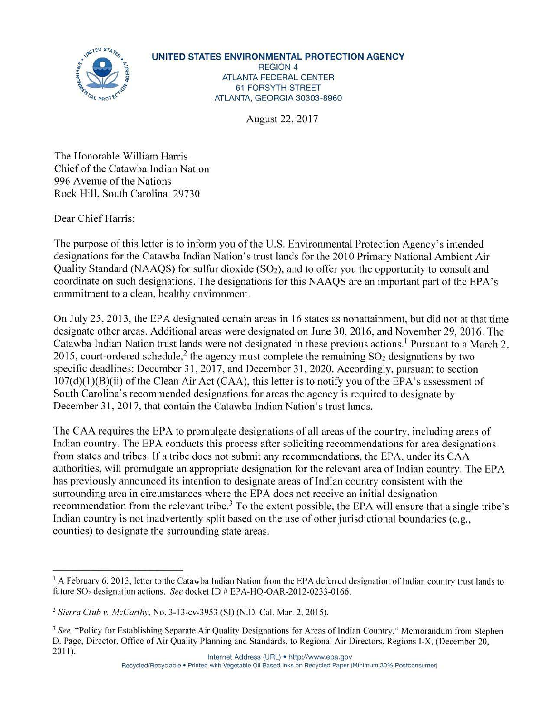

**UNITED STATES ENVIRONMENTAL PROTECTION AGENCY**  REGION 4 ATLANTA FEDERAL CENTER 61 FORSYTH STREET ATLANTA, GEORGIA 30303-8960

August 22, 2017

The Honorable William Harris Chief of the Catawba Indian Nation 996 Avenue of the Nations Rock Hill, South Carolina 29730

Dear Chief Harris:

The purpose of this letter is to inform you of the U.S. Environmental Protection Agency's intended designations for the Catawba Indian Nation's trust lands for the 2010 Primary National Ambient Air Quality Standard (NAAQS) for sulfur dioxide  $(SO<sub>2</sub>)$ , and to offer you the opportunity to consult and coordinate on such designations. The designations for this NAAQS are an important part of the EPA's commitment to a clean, healthy environment.

On July 25, 2013, the EPA designated certain areas in 16 states as nonattainment, but did not at that time designate other areas. Additional areas were designated on June 30, 2016, and November 29, 2016. The Catawba Indian Nation trust lands were not designated in these previous actions.<sup>1</sup> Pursuant to a March 2, 2015, court-ordered schedule, 2 the agency must complete the remaining S02 designations by two specific deadlines: December 31, 2017, and December 31, 2020. Accordingly, pursuant to section  $107(d)(1)(B)(ii)$  of the Clean Air Act (CAA), this letter is to notify you of the EPA's assessment of South Carolina's recommended designations for areas the agency is required to designate by December 31, 2017, that contain the Catawba Indian Nation's trust lands.

The CAA requires the EPA to promulgate designations of all areas of the country, including areas of Indian country. The EPA conducts this process after soliciting recommendations for area designations from states and tribes. If a tribe does not submit any recommendations, the EPA, under its CAA authorities, will promulgate an appropriate designation for the relevant area of Indian country. The EPA has previously announced its intention to designate areas of Indian country consistent with the surrounding area in circumstances where the EPA does not receive an initial designation recommendation from the relevant tribe.<sup>3</sup> To the extent possible, the EPA will ensure that a single tribe's Indian country is not inadvertently split based on the use of other jurisdictional boundaries (e.g., counties) to designate the surrounding state areas.

<sup>&</sup>lt;sup>1</sup> A February 6, 2013, letter to the Catawba Indian Nation from the EPA deferred designation of Indian country trust lands to future SO<sub>2</sub> designation actions. *See* docket ID # EPA-HQ-OAR-2012-0233-0166.

<sup>&</sup>lt;sup>2</sup> Sierra Club v. McCarthy, No. 3-13-cv-3953 (SI) (N.D. Cal. Mar. 2, 2015).

<sup>&</sup>lt;sup>3</sup> See, "Policy for Establishing Separate Air Quality Designations for Areas of Indian Country," Memorandum from Stephen D. Page, Director, Office of Air Quality Planning and Standards, to Regional Air Directors, Regions I-X, (December 20, 2011). Internet Address (URL) • http://www.epa.gov